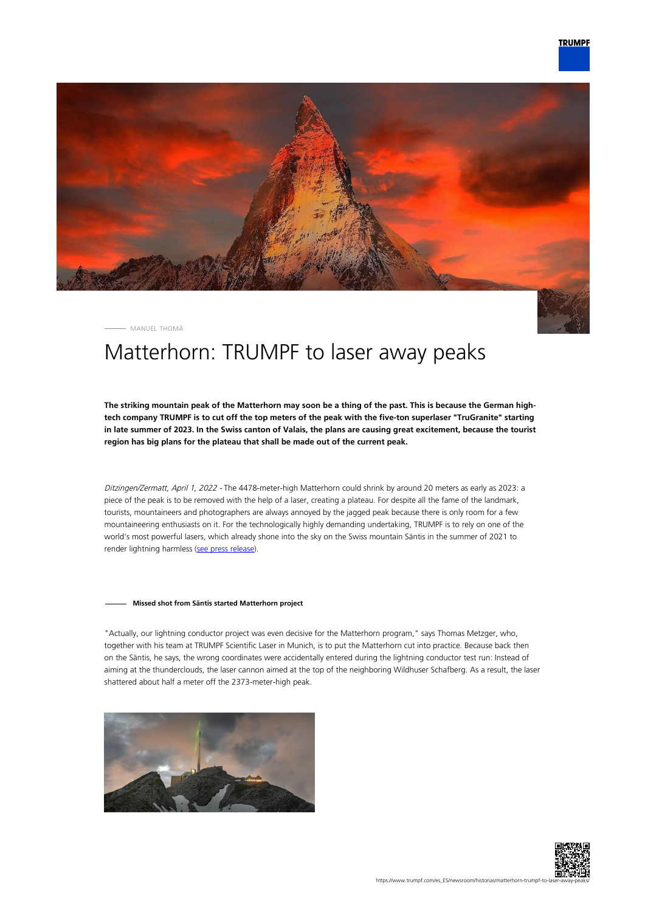

MANUEL THOMÄ

# Matterhorn: TRUMPF to laser away peaks

**The striking mountain peak of the Matterhorn may soon be a thing of the past. This is because the German hightech company TRUMPF is to cut off the top meters of the peak with the five-ton superlaser "TruGranite" starting in late summer of 2023. In the Swiss canton of Valais, the plans are causing great excitement, because the tourist region has big plans for the plateau that shall be made out of the current peak.**

Ditzingen/Zermatt, April 1, 2022 - The 4478-meter-high Matterhorn could shrink by around 20 meters as early as 2023: a piece of the peak is to be removed with the help of a laser, creating a plateau. For despite all the fame of the landmark, tourists, mountaineers and photographers are always annoyed by the jagged peak because there is only room for a few mountaineering enthusiasts on it. For the technologically highly demanding undertaking, TRUMPF is to rely on one of the world's most powerful lasers, which already shone into the sky on the Swiss mountain Säntis in the summer of 2021 to render lightning harmless ([see press release\)](https://www.trumpf.com/en_INT/newsroom/global-press-releases/press-release-detail-page/Press/a-super-laser-on-saentis-mountain-trumpf-fires-up-laser-lightning-rod-in-swiss-alps/).

#### **Missed shot from Säntis started Matterhorn project**

"Actually, our lightning conductor project was even decisive for the Matterhorn program," says Thomas Metzger, who, together with his team at TRUMPF Scientific Laser in Munich, is to put the Matterhorn cut into practice. Because back then on the Säntis, he says, the wrong coordinates were accidentally entered during the lightning conductor test run: Instead of aiming at the thunderclouds, the laser cannon aimed at the top of the neighboring Wildhuser Schafberg. As a result, the laser shattered about half a meter off the 2373-meter-high peak.



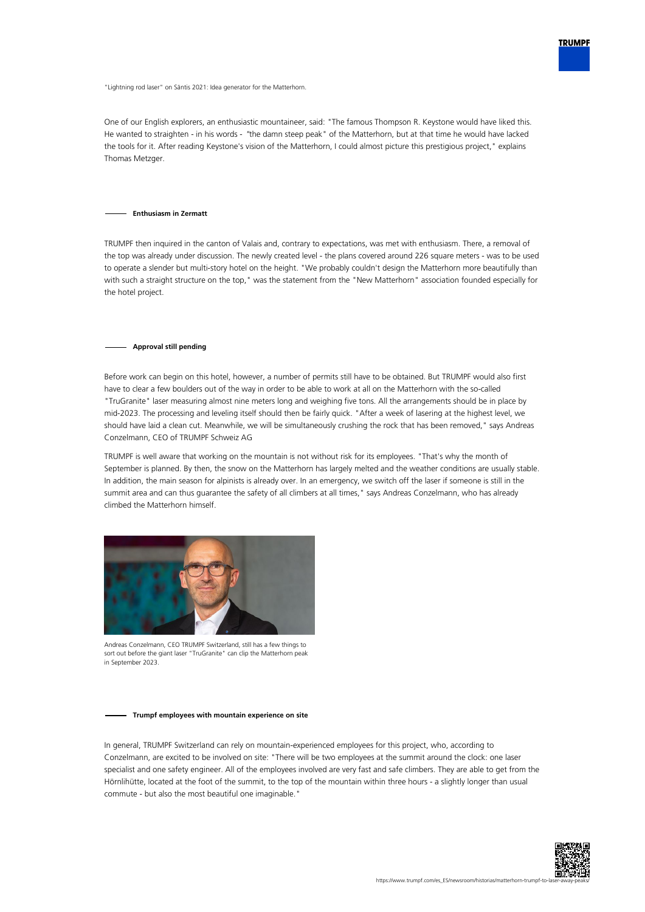

"Lightning rod laser" on Säntis 2021: Idea generator for the Matterhorn.

One of our English explorers, an enthusiastic mountaineer, said: "The famous Thompson R. Keystone would have liked this. He wanted to straighten - in his words - "the damn steep peak" of the Matterhorn, but at that time he would have lacked the tools for it. After reading Keystone's vision of the Matterhorn, I could almost picture this prestigious project," explains Thomas Metzger.

#### **Enthusiasm in Zermatt**

TRUMPF then inquired in the canton of Valais and, contrary to expectations, was met with enthusiasm. There, a removal of the top was already under discussion. The newly created level - the plans covered around 226 square meters - was to be used to operate a slender but multi-story hotel on the height. "We probably couldn't design the Matterhorn more beautifully than with such a straight structure on the top," was the statement from the "New Matterhorn" association founded especially for the hotel project.

#### **Approval still pending**

Before work can begin on this hotel, however, a number of permits still have to be obtained. But TRUMPF would also first have to clear a few boulders out of the way in order to be able to work at all on the Matterhorn with the so-called "TruGranite" laser measuring almost nine meters long and weighing five tons. All the arrangements should be in place by mid-2023. The processing and leveling itself should then be fairly quick. "After a week of lasering at the highest level, we should have laid a clean cut. Meanwhile, we will be simultaneously crushing the rock that has been removed," says Andreas Conzelmann, CEO of TRUMPF Schweiz AG

TRUMPF is well aware that working on the mountain is not without risk for its employees. "That's why the month of September is planned. By then, the snow on the Matterhorn has largely melted and the weather conditions are usually stable. In addition, the main season for alpinists is already over. In an emergency, we switch off the laser if someone is still in the summit area and can thus guarantee the safety of all climbers at all times," says Andreas Conzelmann, who has already climbed the Matterhorn himself.



Andreas Conzelmann, CEO TRUMPF Switzerland, still has a few things to sort out before the giant laser "TruGranite" can clip the Matterhorn peak in September 2023.

#### **Trumpf employees with mountain experience on site**

In general, TRUMPF Switzerland can rely on mountain-experienced employees for this project, who, according to Conzelmann, are excited to be involved on site: "There will be two employees at the summit around the clock: one laser specialist and one safety engineer. All of the employees involved are very fast and safe climbers. They are able to get from the Hörnlihütte, located at the foot of the summit, to the top of the mountain within three hours - a slightly longer than usual commute - but also the most beautiful one imaginable."